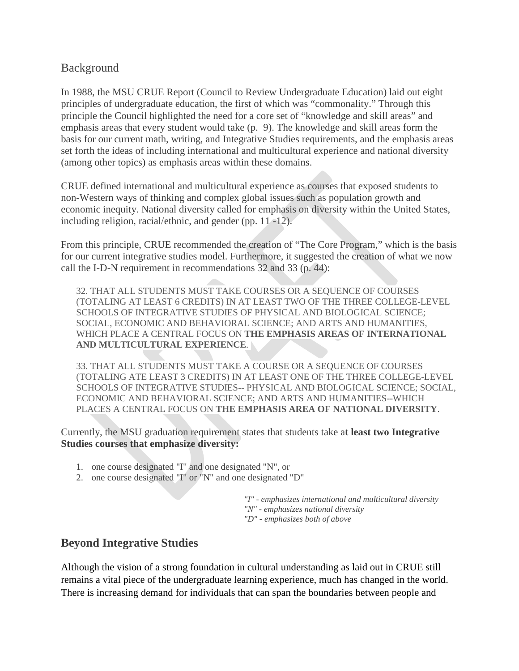## Background

In 1988, the MSU CRUE Report (Council to Review Undergraduate Education) laid out eight principles of undergraduate education, the first of which was "commonality." Through this principle the Council highlighted the need for a core set of "knowledge and skill areas" and emphasis areas that every student would take (p. 9). The knowledge and skill areas form the basis for our current math, writing, and Integrative Studies requirements, and the emphasis areas set forth the ideas of including international and multicultural experience and national diversity (among other topics) as emphasis areas within these domains.

CRUE defined international and multicultural experience as courses that exposed students to non-Western ways of thinking and complex global issues such as population growth and economic inequity. National diversity called for emphasis on diversity within the United States, including religion, racial/ethnic, and gender (pp. 11 -12).

From this principle, CRUE recommended the creation of "The Core Program," which is the basis for our current integrative studies model. Furthermore, it suggested the creation of what we now call the I-D-N requirement in recommendations 32 and 33 (p. 44):

32. THAT ALL STUDENTS MUST TAKE COURSES OR A SEQUENCE OF COURSES (TOTALING AT LEAST 6 CREDITS) IN AT LEAST TWO OF THE THREE COLLEGE-LEVEL SCHOOLS OF INTEGRATIVE STUDIES OF PHYSICAL AND BIOLOGICAL SCIENCE; SOCIAL, ECONOMIC AND BEHAVIORAL SCIENCE; AND ARTS AND HUMANITIES, WHICH PLACE A CENTRAL FOCUS ON **THE EMPHASIS AREAS OF INTERNATIONAL AND MULTICULTURAL EXPERIENCE**.

33. THAT ALL STUDENTS MUST TAKE A COURSE OR A SEQUENCE OF COURSES (TOTALING ATE LEAST 3 CREDITS) IN AT LEAST ONE OF THE THREE COLLEGE-LEVEL SCHOOLS OF INTEGRATIVE STUDIES-- PHYSICAL AND BIOLOGICAL SCIENCE; SOCIAL, ECONOMIC AND BEHAVIORAL SCIENCE; AND ARTS AND HUMANITIES--WHICH PLACES A CENTRAL FOCUS ON **THE EMPHASIS AREA OF NATIONAL DIVERSITY**.

Currently, the MSU graduation requirement states that students take a**t least two Integrative Studies courses that emphasize diversity:**

- 1. one course designated "I" and one designated "N", or
- 2. one course designated "I" or "N" and one designated "D"

*"I" - emphasizes international and multicultural diversity "N" - emphasizes national diversity "D" - emphasizes both of above*

## **Beyond Integrative Studies**

Although the vision of a strong foundation in cultural understanding as laid out in CRUE still remains a vital piece of the undergraduate learning experience, much has changed in the world. There is increasing demand for individuals that can span the boundaries between people and